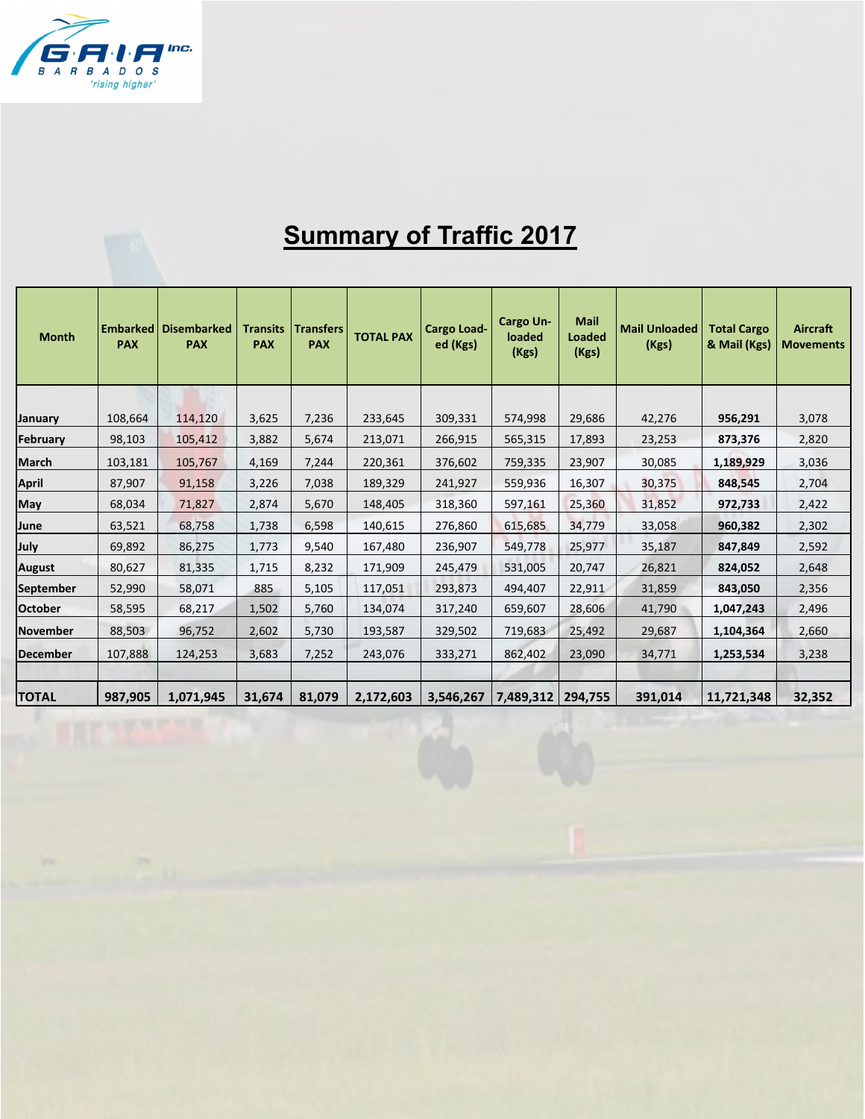

## **Summary of Traffic 2017**

| <b>Month</b>     | <b>Embarked</b><br><b>PAX</b> | <b>Disembarked</b><br><b>PAX</b> | <b>Transits</b><br><b>PAX</b> | <b>Transfers</b><br><b>PAX</b> | <b>TOTAL PAX</b> | <b>Cargo Load-</b><br>ed (Kgs) | <b>Cargo Un-</b><br>loaded<br>(Kgs) | <b>Mail</b><br><b>Loaded</b><br>(Kgs) | <b>Mail Unloaded</b><br>(Kgs) | <b>Total Cargo</b><br>& Mail (Kgs) | Aircraft<br><b>Movements</b> |
|------------------|-------------------------------|----------------------------------|-------------------------------|--------------------------------|------------------|--------------------------------|-------------------------------------|---------------------------------------|-------------------------------|------------------------------------|------------------------------|
|                  |                               |                                  |                               |                                |                  |                                |                                     |                                       |                               |                                    |                              |
| <b>January</b>   | 108,664                       | 114,120                          | 3,625                         | 7,236                          | 233,645          | 309,331                        | 574,998                             | 29,686                                | 42,276                        | 956,291                            | 3,078                        |
| <b>February</b>  | 98,103                        | 105,412                          | 3,882                         | 5,674                          | 213,071          | 266,915                        | 565,315                             | 17,893                                | 23,253                        | 873,376                            | 2,820                        |
| <b>March</b>     | 103,181                       | 105,767                          | 4,169                         | 7,244                          | 220,361          | 376,602                        | 759,335                             | 23,907                                | 30,085                        | 1,189,929                          | 3,036                        |
| <b>April</b>     | 87,907                        | 91,158                           | 3,226                         | 7,038                          | 189,329          | 241,927                        | 559,936                             | 16,307                                | 30,375                        | 848,545                            | 2,704                        |
| May              | 68,034                        | 71,827                           | 2,874                         | 5,670                          | 148,405          | 318,360                        | 597,161                             | 25,360                                | 31,852                        | 972,733                            | 2,422                        |
| June             | 63,521                        | 68,758                           | 1,738                         | 6,598                          | 140,615          | 276,860                        | 615,685                             | 34,779                                | 33,058                        | 960,382                            | 2,302                        |
| July             | 69,892                        | 86,275                           | 1,773                         | 9,540                          | 167,480          | 236,907                        | 549,778                             | 25,977                                | 35,187                        | 847,849                            | 2,592                        |
| <b>August</b>    | 80,627                        | 81,335                           | 1,715                         | 8,232                          | 171,909          | 245,479                        | 531,005                             | 20,747                                | 26,821                        | 824,052                            | 2,648                        |
| <b>September</b> | 52,990                        | 58,071                           | 885                           | 5,105                          | 117,051          | 293,873                        | 494,407                             | 22,911                                | 31,859                        | 843,050                            | 2,356                        |
| <b>October</b>   | 58,595                        | 68,217                           | 1,502                         | 5,760                          | 134,074          | 317,240                        | 659,607                             | 28,606                                | 41,790                        | 1,047,243                          | 2,496                        |
| <b>November</b>  | 88,503                        | 96,752                           | 2,602                         | 5,730                          | 193,587          | 329,502                        | 719,683                             | 25,492                                | 29,687                        | 1,104,364                          | 2,660                        |
| <b>December</b>  | 107,888                       | 124,253                          | 3,683                         | 7,252                          | 243,076          | 333,271                        | 862,402                             | 23,090                                | 34,771                        | 1,253,534                          | 3,238                        |
| <b>TOTAL</b>     | 987,905                       | 1,071,945                        | 31,674                        | 81,079                         | 2,172,603        | 3,546,267                      | 7,489,312                           | 294,755                               | 391,014                       | 11,721,348                         | 32,352                       |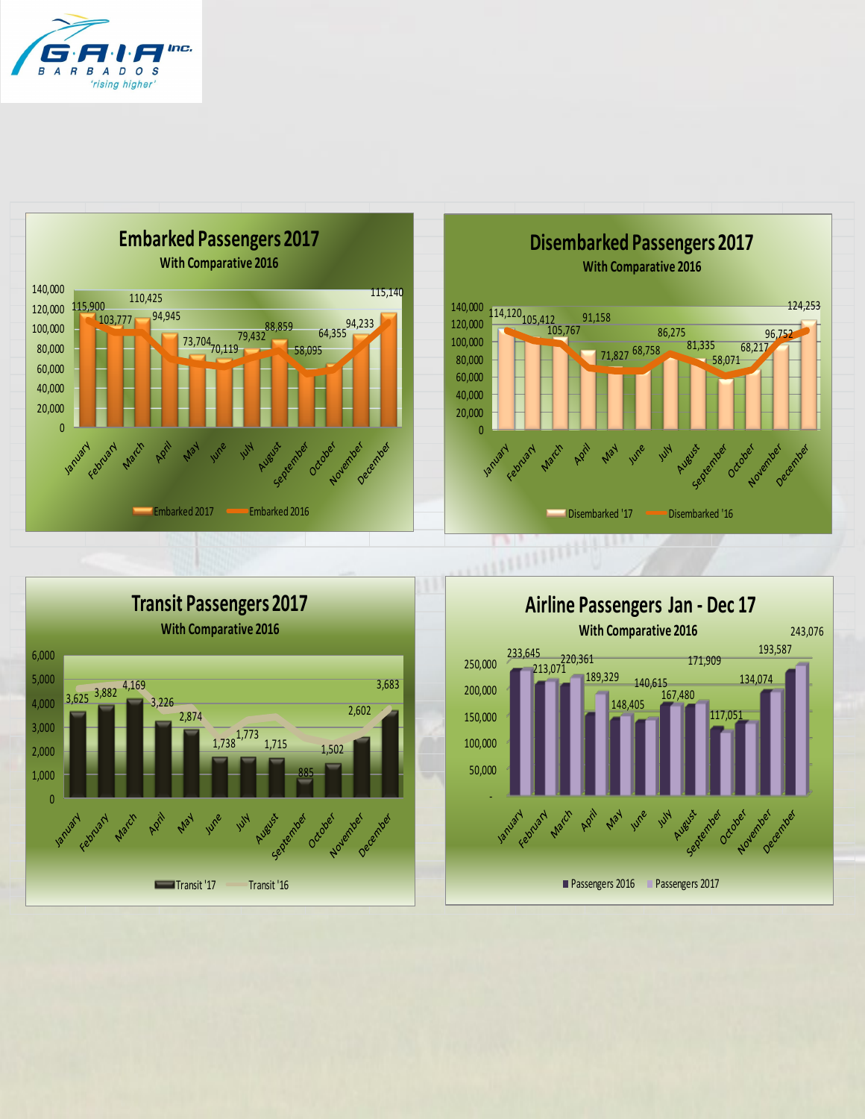